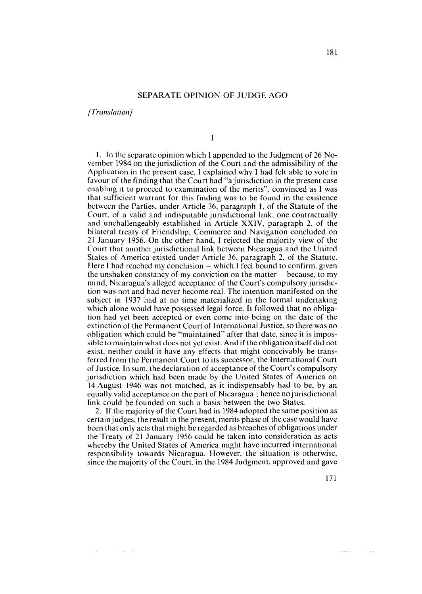## SEPARATE OPINION OF JUDGE AG0

*/Trunslurior~/* 

and a straight

 $\mathbf{I}$ 

1. In the separate opinion which 1 appended to the Judgment of 26 November 1984 on the jurisdiction of the Court and the admissibility of the Application in the present case, 1 explained why 1 had felt able to vote in favour of the finding that the Court had "a jurisdiction in the present case enabling it to proceed to examination of the merits", convinced as 1 was that sufficient warrant for this finding was to be found in the existence between the Parties, under Article 36, paragraph 1. of the Statute of the Court, of a valid and indisputable jurisdictional link, one contractually and unchallengeably established in Article XXIV, paragraph 2, of the bilateral treaty of Friendship, Commerce and Navigation concluded on 21 January 1956. On the other hand, **1** rejected the majority view of the Court that another jurisdictional link between Nicaragua and the United States of America existed under Article 36, paragraph 2, of the Statute. States of America existed under Article 36, paragraph 2, of the Statute.<br>Here I had reached my conclusion – which I feel bound to confirm, given the unshaken constancy of my conviction on the matter  $-$  because, to my mind. Nicaragua's alleged acceptance of the Court's compulsory jurisdiction was not and had never become real. The intention manifested on the subject in 1937 had at no time materialized in the formal undertaking which alone would have possessed legal force. It followed that no obligation had yet been accepted or even come into being on the date of the extinction of the Permanent Court of International Justice, so there was no obligation which could be "maintained" after that date, since it is impossible to maintain what does not yet exist. And if the obligation itself did not exist, neither could it have any effects that might conceivably be transferred from the Permanent Court to its successor, the International Court of Justice. In sum, **I** he declaration of acceptance of the Court's compulsory jurisdiction which had been made by the United States of America on 14 August 1946 was not matched, as it indispensably had to be, by an equally valid acceptance on the part of Nicaragua ; hence nojurisdictional link could be founded on such a basis between the two States.

2. If the majority of the Court had in 1984 adopted the same position as certain judges, the result in the present, merits phase of the case would have been that only acts that might be regarded as breaches of obligations under the Treaty of 21 January 1956 could be taken into consideration as acts whereby the United States of America might have incurred international responsibility towards Nicaragua. However, the situation is otherwise, since the majority of the Court, in the 1984 Judgment, approved and gave

**Carl Grand**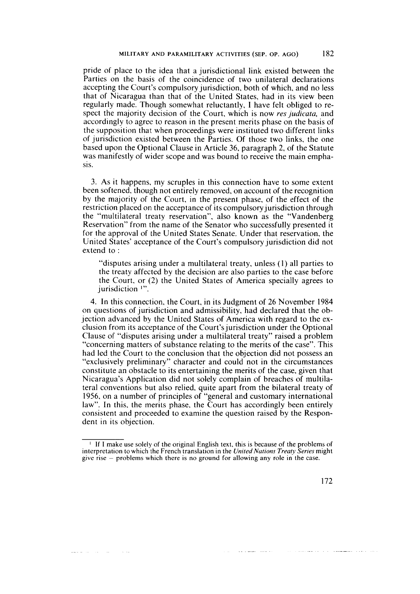pride of place to the idea that a jurisdictional link existed between the Parties on the basis of the coincidence of two unilateral declarations accepting the Court's compulsory jurisdiction, both of which. and no less that of Nicaragua than that of the United States, had in its view been regularly made. Though somewhat reluctantly, 1 have felt obliged to respect the majority decision of the Court, which is now *res* judicata, and accordingly to agree to reason in the present merits phase on the basis of the supposition that when proceedings were instituted two different links of jurisdiction existed between the Parties. Of those two links, the one based upon the Optional Clause in Article 36, paragraph 2, of the Statute was manifestly of wider scope and was bound to receive the main emphasis.

3. As it happens. my scruples in this connection have to some extent been softened. though not entirely removed, on account of the recognition by the majority of the Court, in the present phase, of the effect of the restriction placed on the acceptance of its compulsory jurisdiction through the "multilateral treaty reservation", also known as the "Vandenberg Reservation" from the name of the Senator who successfully presented it for the approval of the United States Senate. Under that reservation, the United States' acceptance of the Court's compulsory jurisdiction did not extend to :

"disputes arising under a multilateral treaty, unless (1) all parties to the treaty affected by the decision are also parties to the case before the Court. or (2) the United States of America specially agrees to iurisdiction<sup>1</sup>".

4. In this connection, the Court, in its Judgment of 26 November 1984 on questions of jurisdiction and admissibility, had declared that the objection advanced by the United States of America with regard to the exclusion from its acceptance of the Court's jurisdiction under the Optional Clause of "disputes arising under a multilateral treaty" raised a problem "concerning matters of substance relating to the merits of the case". This had led the Court to the conclusion that the objection did not possess an "exclusively preliminary" character and could not in the circumstances constitute an obstacle to its entertaining the merits of the case, given that Nicaragua's Application did not solely complain of breaches of multilateral conventions but also relied, quite apart from the bilateral treaty of 1956, on a number of principles of "general and customary international law". In this, the merits phase, the Court has accordingly been entirely consistent and proceeded to examine the question raised by the Respondent in its objection.

associated the contract of the con-

 $\sim 100$  km s  $^{-1}$ 

الدائد الدعا سفد متمدد

<sup>&#</sup>x27; If **1** make use solely of the original English text, this is because of the problerns of interpretation to which .the French translation in the *United Nations Treaty Series* rnight give rise  $-$  problems which there is no ground for allowing any role in the case.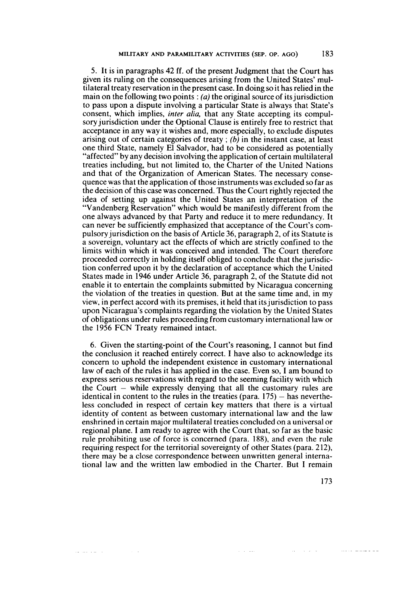5. It is in paragraphs **42** ff. of the present Judgment that the Court has given its ruling on the consequences arising from the United States' multilateral treaty resenration in the present case. In doing so it has relied in the main on the following two points  $: (a)$  the original source of its jurisdiction to pass upon a dispute involving a particular State is always that State's consent, which implies, *inter alia,* that any State accepting its compulsory jurisdiction under the Optional Clause is entirely free to restrict that acceptance in any way it wishes and, more especially, to exclude disputes arising out of certain categories of treaty ;  $(b)$  in the instant case, at least one third State, nannely El Salvador, had to be considered as potentially "affected" by any decision involving the application of certain multilateral treaties including, but not limited to, the Charter of the United Nations and that of the Organization of American States. The necessary consequence was that the application of those instruments was excluded so far as the decision of this case was concerned. Thus the Court rightly rejected the idea of setting up against the United States an interpretation of the "Vandenberg Reservation" which would be manifestly different from the one always advanced by that Party and reduce it to mere redundancy. It can never be sufficiently emphasized that acceptance of the Court's compulsoryjurisdiction on the basis of Article 36, paragraph **2,** of its Statute is a sovereign, voluntary act the effects of which are strictly confined to the limits within which it was conceived and intended. The Court therefore proceeded correctly in holding itself obliged to conclude that the jurisdiction conferred upon it by the declaration of acceptance which the United States made in 1946 under Article 36, paragraph **2,** of the Statute did not enable it to entertain the complaints submitted by Nicaragua concerning the violation of the treaties in question. But at the same time and, in my view, in perfect accord with its premises, it held that its jurisdiction to pass upon Nicaragua's complaints regarding the violation by the United States of obligations under rules proceeding from customary international law or the 1956 FCN Treaty remained intact.

6. Given the starting-point of the Court's reasoning, 1 cannot but find the conclusion it reached entirely correct. 1 have also to acknowledge its concem to uphold the independent existence in customary international law of each of the rules it has applied in the case. Even so, **1** am bound to express serious reservations with regard to the seeming facility with which the Court  $-$  while expressly denying that all the customary rules are identical in content to the rules in the treaties (para.  $175$ ) - has nevertheless concluded in respect of certain key matters that there is a virtual identity of content as between customary international law and the law enshrined in certain major multilateral treaties concluded on a universal or regional plane. **1** am ready to agree with the Court that, so far as the basic rule prohibiting use of force is concerned (para. **188),** and even the rule requiring respect for the territorial sovereignty of other States (para. 212), there may be a close correspondence between unwntten general international law and the written law embodied in the Charter. But 1 remain

a provincia de la con-

 $\sim$   $\sim$ 

and the company of the control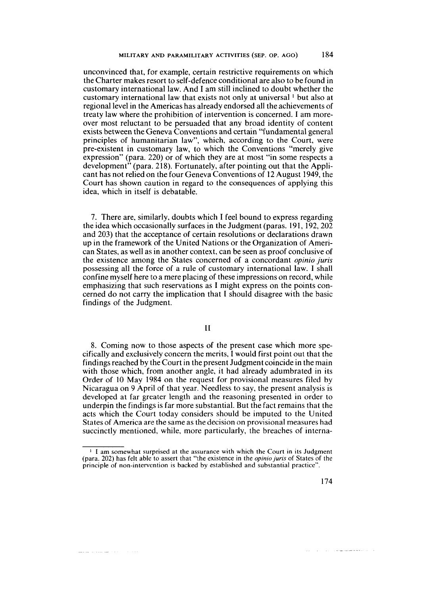unconvinced that, for example, certain restrictive requirements on which the Charter makes resort to self-defence conditional are also to be found in customary international law. And **1** am still inclined to doubt whether the customary international law that exists not only at universal ' but also at regional level in the Americas has already endorsed all the achievements of treaty law where the prohibition of intervention is concerned. **1** am moreover most reluctant to be persuaded that any broad identity of content exists between the Geneva Conventions and certain "fundamental general principles of humanitarian law", which, according to the Court, were pre-existent in customary law, to which the Conventions "merely give expression" (para. 220) or of which they are at most "in some respects a development" (para. 218). Fortunately, after pointing out that the Applicant has not relied on the four Geneva Conventions of 12 August 1949, the Court has shown caution in regard to the consequences of applying this idea, which in itself is debatable.

7. There are, simiilarly, doubts which **1** feel bound to express regarding the idea which occasionally surfaces in the Judgment (paras. 191, 192,202 and 203) that the acceptance of certain resolutions or declarations drawn up in the framework. of the United Nations or the Organization of American States, as well as in another context, can be seen as proof conclusive of the existence among the States concerned of a concordant **opinio juris**  possessing al1 the force of a rule of customary international law. **1** shall confine myself here to a mere placing of these impressions on record, while emphasizing that such reservations as **1** might express on the points concerned do not carry the implication that **1** should disagree with the basic findings of the Judgment.

8. Coming now to those aspects of the present case which more specifically and exclusively concern the merits, I would first point out that the findings reached by the Court in the present Judgment coincide in the main with those which, from another angle, it had already adumbrated in its Order of 10 May 1984 on the request for provisional measures filed by Nicaragua on 9 April of that year. Needless to Say, the present analysis is developed at far greater length and the reasoning presented in order to underpin the findings is far more substantial. But the fact remains that the acts which the Court today considers should be imputed to the United States of America are the same as the decision on provisional measures had succinctly mentioned, while, more particularly, the breaches of interna-

management and a series and contract the contract of the series of the series of the series of the series of

 $\bar{z}$  , and an analyzing the contract  $\bar{z}$  ,  $\bar{z}$  ,  $\bar{z}$  ,  $\bar{z}$ 

**<sup>1</sup>** am somewhat surprised at the assurance with which the Court in its Judgment (para. 202) has felt able to assert that "the existence in the **opinio juris** of States of the principle of non-intervention is backed by established and substantial practice".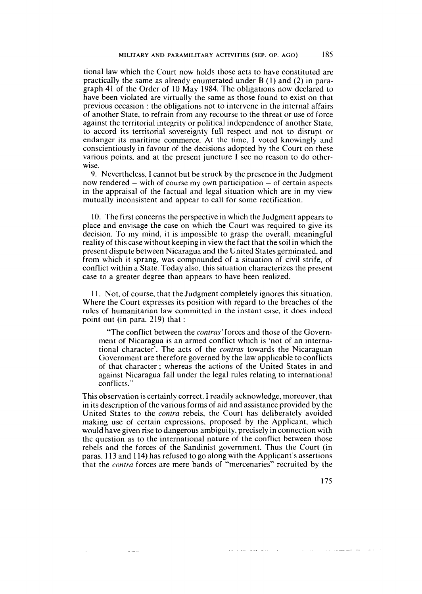tional law which the Court now holds those acts to have constituted are practically the same as already enumerated under  $B(1)$  and (2) in paragraph 41 of the Order of 10 May 1984. The obligations now declared to have been violated are virtually the same as those found to exist on that previous occasion : the obligations not to intervene in the interna1 affairs of another State, to refrain from any recourse to the threat or use of force against the territorial integrity or political independence of another State, to accord its territorial sovereignty full respect and not to disrupt or endanger its maritime commerce. At the time, **1** voted knowingly and conscientiously in favour of the decisions adopted by the Court on these various points, and at the present juncture **1** see no reason to do otherwise.

9. Nevertheless, **1** cannot but be struck by the presence in the Judgment now rendered  $-$  with of course my own participation  $-$  of certain aspects in the appraisal of the factual and legal situation which are in my view mutually inconsistent and appear to call for some rectification.

10. The first concerns the perspective in which the Judgment appears to place and envisage the case on which the Court was required to give its decision. To my mind, it is impossible to grasp the overall, meaningful reality of this case without keeping in view the fact that the soil in which the present dispute between Nicaragua and the United States germinated, and from which it sprang, was compounded of a situation of civil strife, of conflict within a State. Today also, this situation characterizes the present case to a greater degree than appears to have been realized.

11. Not, of course, that the Judgment completely ignores this situation. Where the Court expresses its position with regard to the breaches of the rules of humanitarian law committed in the instant case, it does indeed point out (in para. 219) that :

"The conflict between the *contras'* forces and those of the Government of Nicaragua is an armed conflict which is 'not of an international character'. The acts of the *contras* towards the Nicaraguan Government are therefore governed by the law applicable to conflicts of that character ; whereas the actions of the United States in and against Nicaragua fa11 under the legal rules relating to international conflicts."

This observation is certainly correct. **1** readily acknowledge, moreover, that in its description of the various forms of aid and assistance provided by the United States to the *contra* rebels, the Court has deliberately avoided making use of certain expressions. proposed by the Applicant, which would have given rise to dangerous ambiguity, precisely in connection with the question as to the international nature of the conflict between those rebels and the forces of the Sandinist government. Thus the Court (in paras. 1 13 and 1 14) has refused to go along with the Applicant's assertions that the *contra* forces are mere bands of "mercenaries" recruited by the

المرادي الموعود والأوار

المحادث والمستعفر والمتعارض والمتحدث

175

والتعامل والمستشهدة والمستحدث والمنادر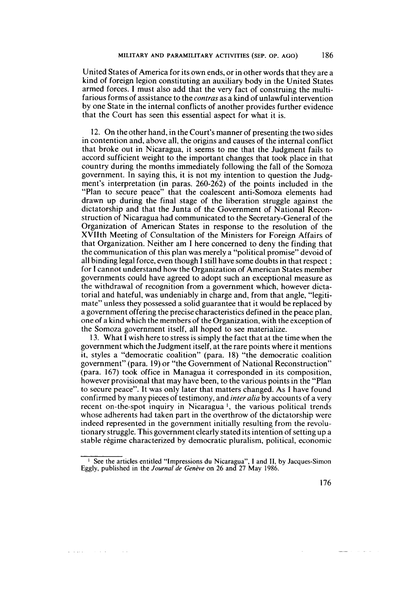United States of America for its own ends, or in other words that they are a kind of foreign legion constituting an auxiliary body in the United States armed forces. I must also add that the very fact of construing the multifarious forms of assistance to the *contras* as a kind of unlawful intervention by one State in the internal conflicts of another provides further evidence that the Court has seen this essential aspect for what it is.

12. On the other hand, in the Court's manner of presenting the two sides in contention and, above all, the origins and causes of the internal conflict that broke out in Nicaragua, it seems to me that the Judgment fails to accord sufficient weight to the important changes that took place in that country during the months immediately following the fall of the Somoza government. In saying this, it is not my intention to question the Judgment's interpretation (in paras. 260-262) of the points included in the "Plan to secure peace" that the coalescent anti-Somoza elements had drawn up during the final stage of the liberation struggle against the dictatorship and that the Junta of the Government of National Reconstruction of Nicaragua had communicated to the Secretary-General of the Organization of Annerican States in response to the resolution of the XVIIth Meeting of Consultation of the Ministers for Foreign Affairs of that Organization. Neither am 1 here concerned to deny the finding that the communication of this plan was merely a "political promise" devoid of all binding legal force, even though I still have some doubts in that respect ; for 1 cannot understand how the Organization of American States member governments could have agreed to adopt such an exceptional measure as the withdrawal of recognition from a government which, however dictatorial and hateful, was undeniably in charge and, from that angle, "legitimate" unless they possessed a solid guarantee that it would be replaced by a government offering the precise characteristics defined in the peace plan, one of a kind which the members of the Organization, with the exception of the Somoza governrnent itself, al1 hoped to see materialize.

13. What **1** wish here to stress is simply the fact that at the time when the government which the Judgment itself, at the rare points where it mentions it, styles a "democratic coalition" (para. 18) "the democratic coalition government" (para. 19) or "the Government of National Reconstruction" (para. 167) took office in Managua it corresponded in its composition, however provisional that may have been, to the various points in the "Plan to secure peace". It was only later that matters changed. As I have found confirmed by many pieces of testimony, and *inter alia* by accounts of a very recent on-the-spot inquiry in Nicaragua ', the various political trends whose adherents had taken part in the overthrow of the dictatorship were indeed represented in the government initially resulting from the revolutionary struggle. This government clearly stated its intention of setting up a stable régime characterized by democratic pluralism, political, economic

and a series

 $\sim 10^{11}$  km s  $^{-1}$ 

<sup>&#</sup>x27; **See the articles entitled "Impressions du Nicaragua", 1 and II, by Jacques-Simon Eggly, published in the** *Journal de* **Genève on** *26* **and 27 May 1986.**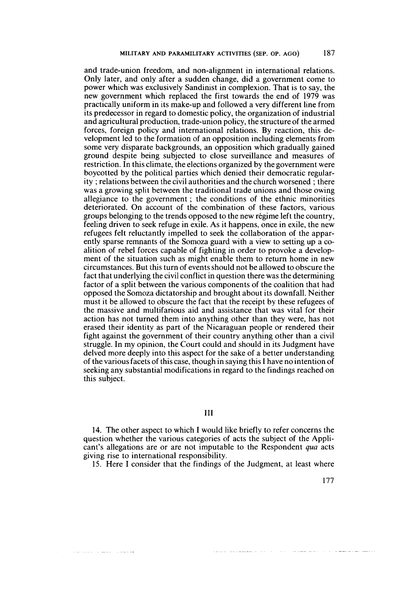and trade-union freedom, and non-alignment in international relations. Only later, and only after a sudden change, did a government come to power which was exclusively Sandinist in complexion. That is to say, the new government which replaced the first towards the end of 1979 was practically uniform in its make-up and followed a very different line from its predecessor in regard to domestic policy, the organization of industrial and agricultural production, trade-union policy, the structure of the armed forces, foreign policy and international relations. By reaction, this development led to the formation of an opposition including elements from some very disparate backgrounds, an opposition which gradually gained ground despite being subjected to close surveillance and measures of restriction. In this climate, the elections organized by the government were boycotted by the political parties which denied their democratic regularity; relations between the civil authorities and the church worsened ; there was a growing split between the traditional trade unions and those owing allegiance to the government ; the conditions of the ethnic minorities deteriorated. On account of the combination of these factors, various groups belonging to the trends opposed to the new régime left the country. feeling driven to seek refuge in exile. As it happens, once in exile, the new refugees felt reluctantly impelled to seek the collaboration of the apparently sparse remnants of the Somoza guard with a view to setting up a coalition of rebel forces capable of fighting in order to provoke a development of the situation such as might enable them to return home in new circumstances. But this turn of events should not be allowed to obscure the fact that underlying the civil conflict in question there was the determining factor of a split between the various components of the coalition that had opposed the Somoz;î dictatorship and brought about its downfall. Neither must it be allowed to obscure the fact that the receipt by these refugees of the massive and multifarious aid and assistance that was vital for their action has not turned them into anything other than they were, has not erased their identity as part of the Nicaraguan people or rendered their fight against the government of their country anything other than a civil struggle. In my opinion, the Court could and should in its Judgment have delved more deeply into this aspect for the sake of a better understanding of the various facets of this case, though in saying this **1** have no intention of seeking any substantial modifications in regard to the findings reached on this subject.

## **III**

14. The other aspect to which **1** would like briefly to refer concerns the question whether the various categories of acts the subject of the Applicant's allegations are or are not imputable to the Respondent *qua* acts giving rise to international responsibility.

15. Here 1 consider that the findings of the Judgment, at least where

the material contract the material of the second com-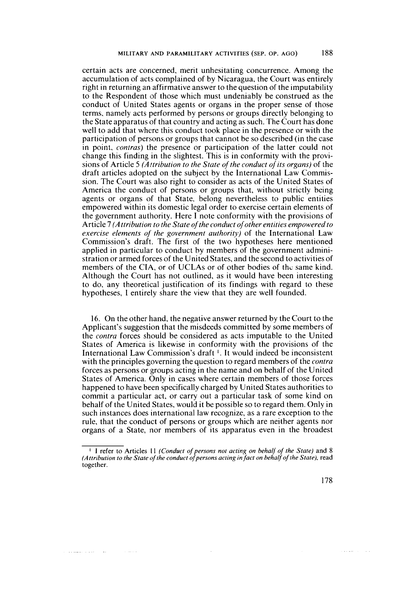certain acts are concerned, merit unhesitating concurrence. Among the accumulation of acts complained of by Nicaragua, the Court was entirely right in returning an affirmative answer to the question of the imputability to the Respondent of those which must undeniably be construed as the conduct of United States agents or organs in the proper sense of those terms. namely acts performed by persons or groups directly belonging to the State apparatus of that country and acting as such. The Court has done well to add that where this conduct took place in the presence or with the participation of persans or groups that cannot be so described (in the case in point, *contras)* the presence or participation of the latter could not change this finding in the slightest. This is in conformity with the provisions of Article 5 *(Attribution to the State of the conduct of its organs)* of the draft articles adopted on the subject by the International Law Commission. The Court was also right to consider as acts of the United States of America the conduct of persons or groups that, without strictly being agents or organs of that State, belong nevertheless to public entities empowered within its domestic legal order to exercise certain elements of the government authority. Here I note conformity with the provisions of Article 7 *(Attribution to the State of the conduct of other entities empowered to exercise elements of the government authority)* of the International Law Commission's draft. The first of the two hypotheses here mentioned applied in particular to conduct by members of the government administration or armed forces of the United States, and the second to activities of members of the CIA, or of UCLAs or of other bodies of the same kind. Although the Court has not outlined, as it would have been interesting to do, any theoretical justification of its findings with regard to these hypotheses, 1 entirely share the view that they are well founded.

16. On the other hand, the negative answer returned by the Court to the Applicant's suggestion that the misdeeds committed by some members of the *contra* forces should be considered as acts imputable to the United States of America is likewise in conformity with the provisions of the International Law Commission's draft <sup>1</sup>. It would indeed be inconsistent with the principles governing the question to regard members of the *contra*  forces as persons or groups acting in the name and on behalf of the United States of America. Only in cases where certain members of those forces happened to have been specifically charged by United States authorities to commit a particular act, or carry out a particular task of some kind on behalf of the United States, would it be possible so to regard them. Only in such instances does international law recognize, as a rare exception to the rule, that the conduct of persons or groups which are neither agents nor organs of a State, nor members of its apparatus even in the broadest

and a structure of the state of

 $\sim$ 

 $\omega_{\rm{c}}$  and

<sup>&#</sup>x27; **1 refer to Articles Il** *(Conduct of persons not acting on behaif of the State)* **and 8**  *(Attribution to the State of the conduct of persons acting in fact on behalf of the State), read* **together.**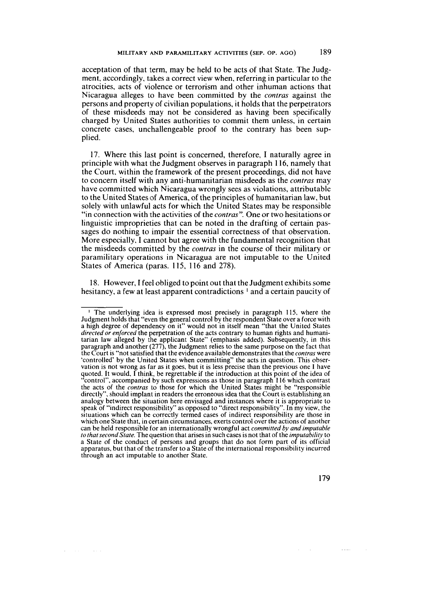acceptation of that term, may be held to be acts of that State. The Judgment, accordingly, takes a correct view when, referring in particular to the atrocities, acts of violence or terrorism and other inhuman actions that Nicaragua alleges to have been committed by the *contras* against the persons and property of civilian populations, it holds that the perpetrators of these misdeeds inay not be considered as having been specifically charged by United States authorities to commit them unless, in certain concrete cases, unchallengeable proof to the contrary has been supplied.

17. Where this last point is concerned, therefore, **1** naturally agree in principle with what the Judgment observes in paragraph 116, namely that the Court, within the framework of the present proceedings, did not have to concern itself with any anti-humanitarian rnisdeeds as the *contras* rnay have committed which Nicaragua wrongly sees as violations, attributable to the United States of America, of the principles of humanitarian law, but solely with unlawful acts for which the United States may be responsible "in connection with ithe activities of the *contras".* One or two hesitations or linguistic improprieties that can be noted in the drafting of certain passages do nothing to impair the essential correctness of that observation. More especially, **1** cannot but agree with the fundamental recognition that the misdeeds committed by the *contras* in the course of their military or paramilitary operations in Nicaragua are not imputable to the United States of America (paras. 115, 116 and 278).

18. However, I feel obliged to point out that the Judgment exhibits some hesitancy, a few at least apparent contradictions  $\frac{1}{2}$  and a certain paucity of

 $\sim 10^{-1}$ 

179

 $\sim$  . . . . . .

<sup>&</sup>lt;sup>1</sup> The underlying idea is expressed most precisely in paragraph 115, where the Judgment holds that "even the general control by the respondent State over a force with a high degree of dependency on it" would not in itself mean "that the United States *directed or enforced* the perpetration of the acts contrary to human rights and humanitarian law alleged by the applicant State" (emphasis added). Subsequently, in this paragraph and another **(277).** the Judgment relies to the same purpose on the fact that the Court is "not satisfied that the evidence available demonstrates that the *contras* were 'controlled' by the United States when committing" the acts in question. This observation is not wrong as far as it goes, but it is less precise than the previous one **I** have quoted. It would, **I** think, be regrettable if the introduction at this point of the idea of "control", accompanied by such expressions as those in paragraph 116 which contrast the acts of the *contras* to those for which the United States rnight be "responsible directly", should implant in readers the erroneous idea that the Court is establishing an<br>analogy between the situation here envisaged and instances where it is appropriate to speak of "indirect resporisibility" as opposed to "direct responsibility". In my view, the situations which can be correctly termed cases of indirect responsibility are those in which one State that, in certain circumstances, exerts control over the actions of another can be held responsible for an internationally wrongful act *commrtted by and imputable to thatsecondState.* The question that arises in such cases is not that of the *imputability* to a State of the conduct of persons and groups that do not form part of its official apparatus, but that of the transfer to a State of the international responsibility incurred through an act imputable to another State.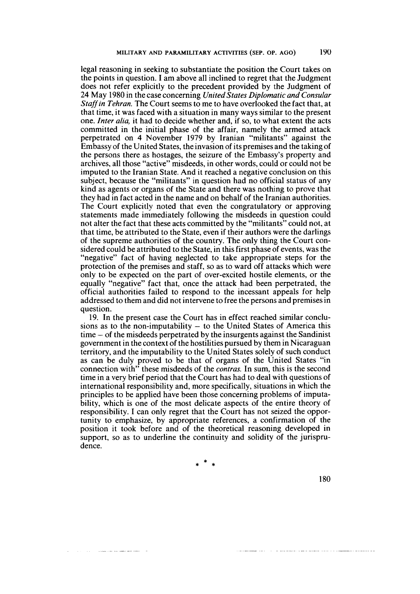legal reasoning in seeking to substantiate the position the Court takes on the points in question. I am above all inclined to regret that the Judgment does not refer explicitly to the precedent provided by the Judgment of 24 May 1980 in the case concerning *United States Diplomatic and Consular Staff in Tehran.* The Court seems to me to have overlooked the fact that, at that time, it was faced with a situation in many ways similar to the present one. *Inter alia,* it hacl to decide whether and, if so, to what extent the acts committed in the initial phase of the affair, namely the armed attack perpetrated on 4 November 1979 by Iranian "militants" against the Embassy of the United States, the invasion of its premises and the taking of the persons there as hostages, the seizure of the Embassy's property and archives, al1 those "active" misdeeds, in other words, could or could not be imputed to the Iranian State. And it reached a negative conclusion on this subject, because the "militants" in question had no official status of any kind as agents or organs of the State and there was nothing to prove that they had in fact acted in the name and on behalf of the Iranian authorities. The Court explicitly noted that even the congratulatory or approving statements made immediately following the misdeeds in question could not alter the fact that these acts committed by the "militants" could not, at that time, be attributed to the State, even if their authors were the darlings of the supreme authorities of the country. The only thing the Court considered could be attributed to the State, in this first phase of events, was the "negative" fact of having neglected to take appropriate steps for the protection of the premises and staff, so as to ward off attacks which were only to be expected on the part of over-excited hostile elements, or the equally "negative" fact that, once the attack had been perpetrated, the officia1 authorities failed to respond to the incessant appeals for help addressed to them and did not intervene to free the persons and premises in question.

19. In the present case the Court has in effect reached similar conclusions as to the non-imputability  $-$  to the United States of America this time - of the misdeelds perpetrated by the insurgents against the Sandinist government in the context of the hostilities pursued by them in Nicaraguan territory, and the imputability to the United States solely of such conduct as can be duly proved to be that of organs of the United States "in connection with" these misdeeds of the *contras.* In sum, this is the second time in a very brief period that the Court has had to deal with questions of international responsibility and, more specifically, situations in which the principles to be applied have been those concerning problems of imputability, which is one of the most delicate aspects of the entire theory of responsibility. 1 can only regret that the Court has not seized the opportunity to emphasize, by appropriate references, a confirmation of the position it took before and of the theoretical reasoning developed in support, so as to underline the continuity and solidity of the jurisprudence.